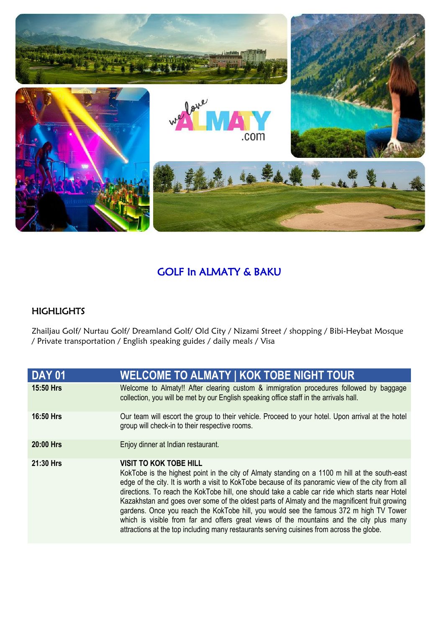

## GOLF In ALMATY & BAKU

## **HIGHLIGHTS**

Zhailjau Golf/ Nurtau Golf/ Dreamland Golf/ Old City / Nizami Street / shopping / Bibi-Heybat Mosque / Private transportation / English speaking guides / daily meals / Visa

| <b>DAY 01</b>    | <b>WELCOME TO ALMATY   KOK TOBE NIGHT TOUR</b>                                                                                                                                                                                                                                                                                                                                                                                                                                                                                                                                                                                                                                                                                |
|------------------|-------------------------------------------------------------------------------------------------------------------------------------------------------------------------------------------------------------------------------------------------------------------------------------------------------------------------------------------------------------------------------------------------------------------------------------------------------------------------------------------------------------------------------------------------------------------------------------------------------------------------------------------------------------------------------------------------------------------------------|
| 15:50 Hrs        | Welcome to Almaty!! After clearing custom & immigration procedures followed by baggage<br>collection, you will be met by our English speaking office staff in the arrivals hall.                                                                                                                                                                                                                                                                                                                                                                                                                                                                                                                                              |
| <b>16:50 Hrs</b> | Our team will escort the group to their vehicle. Proceed to your hotel. Upon arrival at the hotel<br>group will check-in to their respective rooms.                                                                                                                                                                                                                                                                                                                                                                                                                                                                                                                                                                           |
| 20:00 Hrs        | Enjoy dinner at Indian restaurant.                                                                                                                                                                                                                                                                                                                                                                                                                                                                                                                                                                                                                                                                                            |
| 21:30 Hrs        | <b>VISIT TO KOK TOBE HILL</b><br>KokTobe is the highest point in the city of Almaty standing on a 1100 m hill at the south-east<br>edge of the city. It is worth a visit to KokTobe because of its panoramic view of the city from all<br>directions. To reach the KokTobe hill, one should take a cable car ride which starts near Hotel<br>Kazakhstan and goes over some of the oldest parts of Almaty and the magnificent fruit growing<br>gardens. Once you reach the KokTobe hill, you would see the famous 372 m high TV Tower<br>which is visible from far and offers great views of the mountains and the city plus many<br>attractions at the top including many restaurants serving cuisines from across the globe. |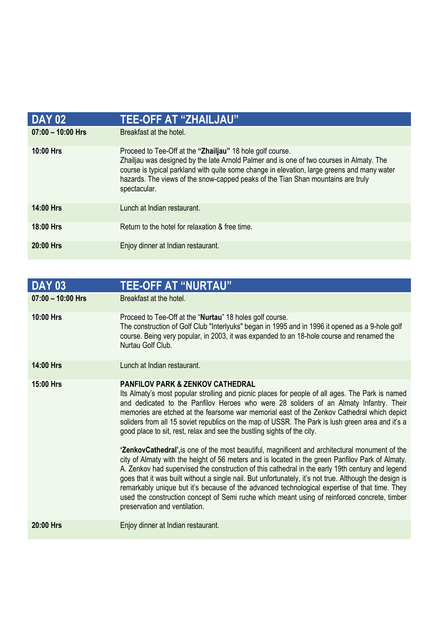| <b>DAY 02</b>       | <u>TEE-OFF AT "ZHAILJAU"</u>                                                                                                                                                                                                                                                                                                                             |
|---------------------|----------------------------------------------------------------------------------------------------------------------------------------------------------------------------------------------------------------------------------------------------------------------------------------------------------------------------------------------------------|
| $07:00 - 10:00$ Hrs | Breakfast at the hotel.                                                                                                                                                                                                                                                                                                                                  |
| 10:00 Hrs           | Proceed to Tee-Off at the "Zhailjau" 18 hole golf course.<br>Zhailjau was designed by the late Arnold Palmer and is one of two courses in Almaty. The<br>course is typical parkland with quite some change in elevation, large greens and many water<br>hazards. The views of the snow-capped peaks of the Tian Shan mountains are truly<br>spectacular. |
| $14:00$ Hrs         | Lunch at Indian restaurant.                                                                                                                                                                                                                                                                                                                              |
| 18:00 Hrs           | Return to the hotel for relaxation & free time.                                                                                                                                                                                                                                                                                                          |
| 20:00 Hrs           | Enjoy dinner at Indian restaurant.                                                                                                                                                                                                                                                                                                                       |

| <b>DAY 03</b>       | <b>TEE-OFF AT "NURTAU"</b>                                                                                                                                                                                                                                                                                                                                                                                                                                                                                                                                                                                                                                                                                                                                                                                                                                                                                                                                                                                                                                                                                                                                                          |
|---------------------|-------------------------------------------------------------------------------------------------------------------------------------------------------------------------------------------------------------------------------------------------------------------------------------------------------------------------------------------------------------------------------------------------------------------------------------------------------------------------------------------------------------------------------------------------------------------------------------------------------------------------------------------------------------------------------------------------------------------------------------------------------------------------------------------------------------------------------------------------------------------------------------------------------------------------------------------------------------------------------------------------------------------------------------------------------------------------------------------------------------------------------------------------------------------------------------|
| $07:00 - 10:00$ Hrs | Breakfast at the hotel.                                                                                                                                                                                                                                                                                                                                                                                                                                                                                                                                                                                                                                                                                                                                                                                                                                                                                                                                                                                                                                                                                                                                                             |
| 10:00 Hrs           | Proceed to Tee-Off at the "Nurtau" 18 holes golf course.<br>The construction of Golf Club "Interlyuks" began in 1995 and in 1996 it opened as a 9-hole golf<br>course. Being very popular, in 2003, it was expanded to an 18-hole course and renamed the<br>Nurtau Golf Club.                                                                                                                                                                                                                                                                                                                                                                                                                                                                                                                                                                                                                                                                                                                                                                                                                                                                                                       |
| 14:00 Hrs           | Lunch at Indian restaurant.                                                                                                                                                                                                                                                                                                                                                                                                                                                                                                                                                                                                                                                                                                                                                                                                                                                                                                                                                                                                                                                                                                                                                         |
| 15:00 Hrs           | <b>PANFILOV PARK &amp; ZENKOV CATHEDRAL</b><br>Its Almaty's most popular strolling and picnic places for people of all ages. The Park is named<br>and dedicated to the Panfilov Heroes who were 28 soliders of an Almaty Infantry. Their<br>memories are etched at the fearsome war memorial east of the Zenkov Cathedral which depict<br>soliders from all 15 soviet republics on the map of USSR. The Park is lush green area and it's a<br>good place to sit, rest, relax and see the bustling sights of the city.<br><b>'ZenkovCathedral'</b> , is one of the most beautiful, magnificent and architectural monument of the<br>city of Almaty with the height of 56 meters and is located in the green Panfilov Park of Almaty.<br>A. Zenkov had supervised the construction of this cathedral in the early 19th century and legend<br>goes that it was built without a single nail. But unfortunately, it's not true. Although the design is<br>remarkably unique but it's because of the advanced technological expertise of that time. They<br>used the construction concept of Semi ruche which meant using of reinforced concrete, timber<br>preservation and ventilation. |
| 20:00 Hrs           | Enjoy dinner at Indian restaurant.                                                                                                                                                                                                                                                                                                                                                                                                                                                                                                                                                                                                                                                                                                                                                                                                                                                                                                                                                                                                                                                                                                                                                  |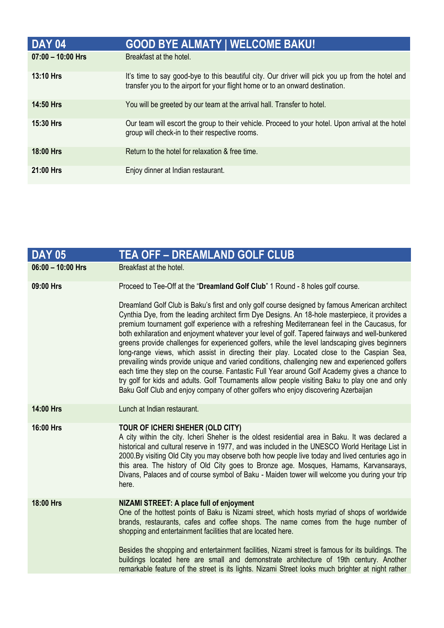| <b>DAY 04</b>       | <b>GOOD BYE ALMATY   WELCOME BAKU!</b>                                                                                                                                            |  |
|---------------------|-----------------------------------------------------------------------------------------------------------------------------------------------------------------------------------|--|
| $07:00 - 10:00$ Hrs | Breakfast at the hotel.                                                                                                                                                           |  |
| <b>13:10 Hrs</b>    | It's time to say good-bye to this beautiful city. Our driver will pick you up from the hotel and<br>transfer you to the airport for your flight home or to an onward destination. |  |
| <b>14:50 Hrs</b>    | You will be greeted by our team at the arrival hall. Transfer to hotel.                                                                                                           |  |
| <b>15:30 Hrs</b>    | Our team will escort the group to their vehicle. Proceed to your hotel. Upon arrival at the hotel<br>group will check-in to their respective rooms.                               |  |
| <b>18:00 Hrs</b>    | Return to the hotel for relaxation & free time.                                                                                                                                   |  |
| 21:00 Hrs           | Enjoy dinner at Indian restaurant.                                                                                                                                                |  |

| <b>DAY 05</b>     | <b>TEA OFF - DREAMLAND GOLF CLUB</b>                                                                                                                                                                                                                                                                                                                                                                                                                                                                                                                                                                                                                                                                                                                                                                                                                                                                                                                                                          |  |  |
|-------------------|-----------------------------------------------------------------------------------------------------------------------------------------------------------------------------------------------------------------------------------------------------------------------------------------------------------------------------------------------------------------------------------------------------------------------------------------------------------------------------------------------------------------------------------------------------------------------------------------------------------------------------------------------------------------------------------------------------------------------------------------------------------------------------------------------------------------------------------------------------------------------------------------------------------------------------------------------------------------------------------------------|--|--|
| 06:00 - 10:00 Hrs | Breakfast at the hotel.                                                                                                                                                                                                                                                                                                                                                                                                                                                                                                                                                                                                                                                                                                                                                                                                                                                                                                                                                                       |  |  |
| 09:00 Hrs         | Proceed to Tee-Off at the "Dreamland Golf Club" 1 Round - 8 holes golf course.                                                                                                                                                                                                                                                                                                                                                                                                                                                                                                                                                                                                                                                                                                                                                                                                                                                                                                                |  |  |
|                   | Dreamland Golf Club is Baku's first and only golf course designed by famous American architect<br>Cynthia Dye, from the leading architect firm Dye Designs. An 18-hole masterpiece, it provides a<br>premium tournament golf experience with a refreshing Mediterranean feel in the Caucasus, for<br>both exhilaration and enjoyment whatever your level of golf. Tapered fairways and well-bunkered<br>greens provide challenges for experienced golfers, while the level landscaping gives beginners<br>long-range views, which assist in directing their play. Located close to the Caspian Sea,<br>prevailing winds provide unique and varied conditions, challenging new and experienced golfers<br>each time they step on the course. Fantastic Full Year around Golf Academy gives a chance to<br>try golf for kids and adults. Golf Tournaments allow people visiting Baku to play one and only<br>Baku Golf Club and enjoy company of other golfers who enjoy discovering Azerbaijan |  |  |
| 14:00 Hrs         | Lunch at Indian restaurant.                                                                                                                                                                                                                                                                                                                                                                                                                                                                                                                                                                                                                                                                                                                                                                                                                                                                                                                                                                   |  |  |
| 16:00 Hrs         | TOUR OF ICHERI SHEHER (OLD CITY)<br>A city within the city. Icheri Sheher is the oldest residential area in Baku. It was declared a<br>historical and cultural reserve in 1977, and was included in the UNESCO World Heritage List in<br>2000.By visiting Old City you may observe both how people live today and lived centuries ago in<br>this area. The history of Old City goes to Bronze age. Mosques, Hamams, Karvansarays,<br>Divans, Palaces and of course symbol of Baku - Maiden tower will welcome you during your trip<br>here.                                                                                                                                                                                                                                                                                                                                                                                                                                                   |  |  |
| 18:00 Hrs         | NIZAMI STREET: A place full of enjoyment<br>One of the hottest points of Baku is Nizami street, which hosts myriad of shops of worldwide<br>brands, restaurants, cafes and coffee shops. The name comes from the huge number of<br>shopping and entertainment facilities that are located here.                                                                                                                                                                                                                                                                                                                                                                                                                                                                                                                                                                                                                                                                                               |  |  |
|                   | Besides the shopping and entertainment facilities, Nizami street is famous for its buildings. The<br>buildings located here are small and demonstrate architecture of 19th century. Another<br>remarkable feature of the street is its lights. Nizami Street looks much brighter at night rather                                                                                                                                                                                                                                                                                                                                                                                                                                                                                                                                                                                                                                                                                              |  |  |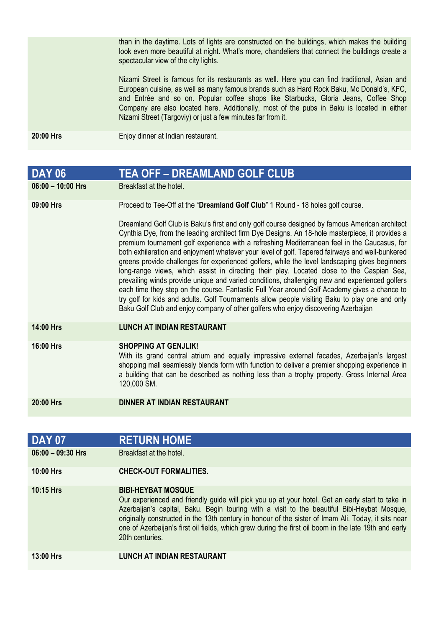than in the daytime. Lots of lights are constructed on the buildings, which makes the building look even more beautiful at night. What's more, chandeliers that connect the buildings create a spectacular view of the city lights.

Nizami Street is famous for its restaurants as well. Here you can find traditional, Asian and European cuisine, as well as many famous brands such as Hard Rock Baku, Mc Donald's, KFC, and Entrée and so on. Popular coffee shops like Starbucks, Gloria Jeans, Coffee Shop Company are also located here. Additionally, most of the pubs in Baku is located in either Nizami Street (Targoviy) or just a few minutes far from it.

**20:00 Hrs** Enjoy dinner at Indian restaurant.

| <b>DAY 06</b>       | <b>TEA OFF - DREAMLAND GOLF CLUB</b>                                                                                                                                                                                                                                                                                                                                                                                                                                                                                                                                                                                                                                                                                                                                                                                                                                                                                                                                                          |
|---------------------|-----------------------------------------------------------------------------------------------------------------------------------------------------------------------------------------------------------------------------------------------------------------------------------------------------------------------------------------------------------------------------------------------------------------------------------------------------------------------------------------------------------------------------------------------------------------------------------------------------------------------------------------------------------------------------------------------------------------------------------------------------------------------------------------------------------------------------------------------------------------------------------------------------------------------------------------------------------------------------------------------|
| $06:00 - 10:00$ Hrs | Breakfast at the hotel.                                                                                                                                                                                                                                                                                                                                                                                                                                                                                                                                                                                                                                                                                                                                                                                                                                                                                                                                                                       |
| 09:00 Hrs           | Proceed to Tee-Off at the "Dreamland Golf Club" 1 Round - 18 holes golf course.                                                                                                                                                                                                                                                                                                                                                                                                                                                                                                                                                                                                                                                                                                                                                                                                                                                                                                               |
|                     | Dreamland Golf Club is Baku's first and only golf course designed by famous American architect<br>Cynthia Dye, from the leading architect firm Dye Designs. An 18-hole masterpiece, it provides a<br>premium tournament golf experience with a refreshing Mediterranean feel in the Caucasus, for<br>both exhilaration and enjoyment whatever your level of golf. Tapered fairways and well-bunkered<br>greens provide challenges for experienced golfers, while the level landscaping gives beginners<br>long-range views, which assist in directing their play. Located close to the Caspian Sea,<br>prevailing winds provide unique and varied conditions, challenging new and experienced golfers<br>each time they step on the course. Fantastic Full Year around Golf Academy gives a chance to<br>try golf for kids and adults. Golf Tournaments allow people visiting Baku to play one and only<br>Baku Golf Club and enjoy company of other golfers who enjoy discovering Azerbaijan |
| 14:00 Hrs           | <b>LUNCH AT INDIAN RESTAURANT</b>                                                                                                                                                                                                                                                                                                                                                                                                                                                                                                                                                                                                                                                                                                                                                                                                                                                                                                                                                             |
| 16:00 Hrs           | <b>SHOPPING AT GENJLIK!</b><br>With its grand central atrium and equally impressive external facades, Azerbaijan's largest<br>shopping mall seamlessly blends form with function to deliver a premier shopping experience in<br>a building that can be described as nothing less than a trophy property. Gross Internal Area<br>120,000 SM.                                                                                                                                                                                                                                                                                                                                                                                                                                                                                                                                                                                                                                                   |
| 20:00 Hrs           | <b>DINNER AT INDIAN RESTAURANT</b>                                                                                                                                                                                                                                                                                                                                                                                                                                                                                                                                                                                                                                                                                                                                                                                                                                                                                                                                                            |

| <b>DAY 07</b>       | <b>RETURN HOME</b>                                                                                                                                                                                                                                                                                                                                                                                                                                              |
|---------------------|-----------------------------------------------------------------------------------------------------------------------------------------------------------------------------------------------------------------------------------------------------------------------------------------------------------------------------------------------------------------------------------------------------------------------------------------------------------------|
| $06:00 - 09:30$ Hrs | Breakfast at the hotel.                                                                                                                                                                                                                                                                                                                                                                                                                                         |
| 10:00 Hrs           | <b>CHECK-OUT FORMALITIES.</b>                                                                                                                                                                                                                                                                                                                                                                                                                                   |
| 10:15 Hrs           | <b>BIBI-HEYBAT MOSQUE</b><br>Our experienced and friendly guide will pick you up at your hotel. Get an early start to take in<br>Azerbaijan's capital, Baku. Begin touring with a visit to the beautiful Bibi-Heybat Mosque,<br>originally constructed in the 13th century in honour of the sister of Imam Ali. Today, it sits near<br>one of Azerbaijan's first oil fields, which grew during the first oil boom in the late 19th and early<br>20th centuries. |
| <b>13:00 Hrs</b>    | LUNCH AT INDIAN RESTAURANT                                                                                                                                                                                                                                                                                                                                                                                                                                      |